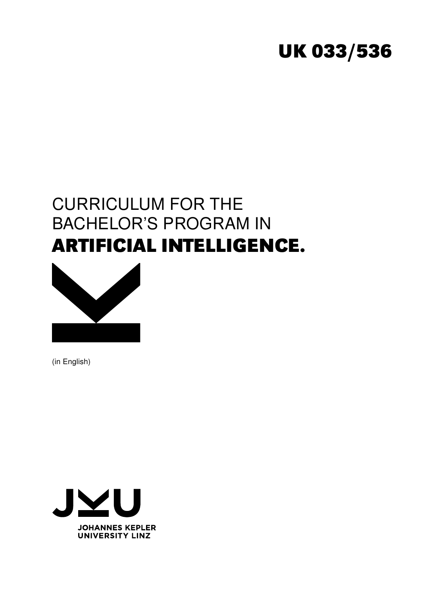# **UK 033/536**

# CURRICULUM FOR THE BACHELOR'S PROGRAM IN **ARTIFICIAL INTELLIGENCE.**



(in English)

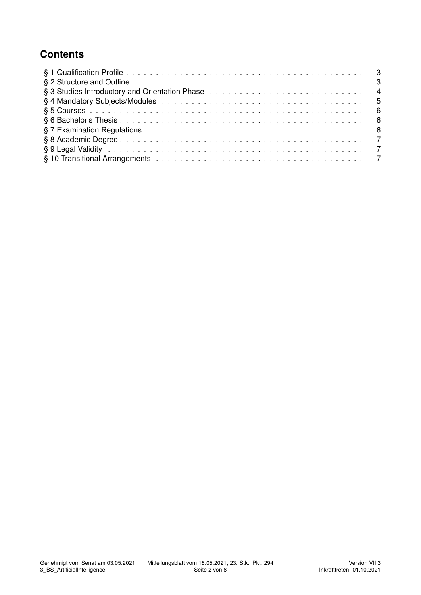# **Contents**

| § 3 Studies Introductory and Orientation Phase enterprised by enterprised and the set of the set of the set of the set of the set of the set of the set of the set of the set of the set of the set of the set of the set of t |  |
|--------------------------------------------------------------------------------------------------------------------------------------------------------------------------------------------------------------------------------|--|
|                                                                                                                                                                                                                                |  |
|                                                                                                                                                                                                                                |  |
|                                                                                                                                                                                                                                |  |
|                                                                                                                                                                                                                                |  |
|                                                                                                                                                                                                                                |  |
|                                                                                                                                                                                                                                |  |
|                                                                                                                                                                                                                                |  |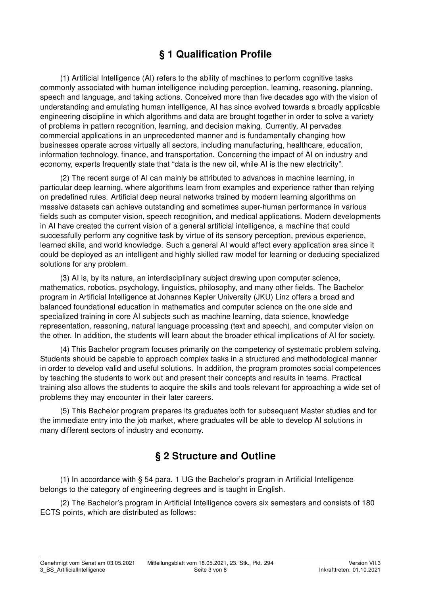# § 1 Qualification Profile

(1) Artificial Intelligence (AI) refers to the ability of machines to perform cognitive tasks commonly associated with human intelligence including perception, learning, reasoning, planning, speech and language, and taking actions. Conceived more than five decades ago with the vision of understanding and emulating human intelligence, AI has since evolved towards a broadly applicable engineering discipline in which algorithms and data are brought together in order to solve a variety of problems in pattern recognition, learning, and decision making. Currently, AI pervades commercial applications in an unprecedented manner and is fundamentally changing how businesses operate across virtually all sectors, including manufacturing, healthcare, education, information technology, finance, and transportation. Concerning the impact of AI on industry and economy, experts frequently state that "data is the new oil, while AI is the new electricity".

(2) The recent surge of AI can mainly be attributed to advances in machine learning, in particular deep learning, where algorithms learn from examples and experience rather than relying on predefined rules. Artificial deep neural networks trained by modern learning algorithms on massive datasets can achieve outstanding and sometimes super-human performance in various fields such as computer vision, speech recognition, and medical applications. Modern developments in AI have created the current vision of a general artificial intelligence, a machine that could successfully perform any cognitive task by virtue of its sensory perception, previous experience, learned skills, and world knowledge. Such a general AI would affect every application area since it could be deployed as an intelligent and highly skilled raw model for learning or deducing specialized solutions for any problem.

(3) AI is, by its nature, an interdisciplinary subject drawing upon computer science, mathematics, robotics, psychology, linguistics, philosophy, and many other fields. The Bachelor program in Artificial Intelligence at Johannes Kepler University (JKU) Linz offers a broad and balanced foundational education in mathematics and computer science on the one side and specialized training in core AI subjects such as machine learning, data science, knowledge representation, reasoning, natural language processing (text and speech), and computer vision on the other. In addition, the students will learn about the broader ethical implications of AI for society.

(4) This Bachelor program focuses primarily on the competency of systematic problem solving. Students should be capable to approach complex tasks in a structured and methodological manner in order to develop valid and useful solutions. In addition, the program promotes social competences by teaching the students to work out and present their concepts and results in teams. Practical training also allows the students to acquire the skills and tools relevant for approaching a wide set of problems they may encounter in their later careers.

(5) This Bachelor program prepares its graduates both for subsequent Master studies and for the immediate entry into the job market, where graduates will be able to develop AI solutions in many different sectors of industry and economy.

### § 2 Structure and Outline

(1) In accordance with § 54 para. 1 UG the Bachelor's program in Artificial Intelligence belongs to the category of engineering degrees and is taught in English.

(2) The Bachelor's program in Artificial Intelligence covers six semesters and consists of 180 ECTS points, which are distributed as follows: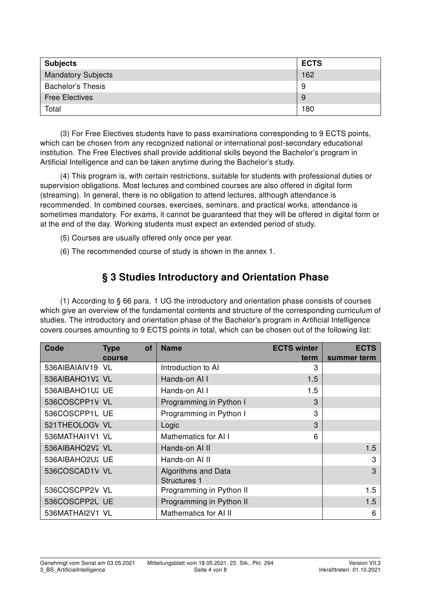| <b>Subjects</b>           | <b>ECTS</b> |
|---------------------------|-------------|
| <b>Mandatory Subjects</b> | 162         |
| <b>Bachelor's Thesis</b>  | 9           |
| <b>Free Electives</b>     | 9           |
| Total                     | 180         |

(3) For Free Electives students have to pass examinations corresponding to 9 ECTS points, which can be chosen from any recognized national or international post-secondary educational institution. The Free Electives shall provide additional skills beyond the Bachelor's program in Artificial Intelligence and can be taken anytime during the Bachelor's study.

(4) This program is, with certain restrictions, suitable for students with professional duties or supervision obligations. Most lectures and combined courses are also offered in digital form (streaming). In general, there is no obligation to attend lectures, although attendance is recommended. In combined courses, exercises, seminars, and practical works, attendance is sometimes mandatory. For exams, it cannot be guaranteed that they will be offered in digital form or at the end of the day. Working students must expect an extended period of study.

- (5) Courses are usually offered only once per year.
- (6) The recommended course of study is shown in the annex 1.

#### § 3 Studies Introductory and Orientation Phase

(1) According to § 66 para. 1 UG the introductory and orientation phase consists of courses which give an overview of the fundamental contents and structure of the corresponding curriculum of studies. The introductory and orientation phase of the Bachelor's program in Artificial Intelligence covers courses amounting to 9 ECTS points in total, which can be chosen out of the following list:

| Code            | of<br><b>Type</b> | <b>Name</b>                                | <b>ECTS winter</b> | <b>ECTS</b> |  |
|-----------------|-------------------|--------------------------------------------|--------------------|-------------|--|
|                 | course            |                                            | term               | summer term |  |
| 536AIBAIAIV19   | VL                | Introduction to AI                         | 3                  |             |  |
| 536AIBAHO1V2 VL |                   | Hands-on All                               | 1.5                |             |  |
| 536AIBAHO1U1 UE |                   | Hands-on Al I                              | 1.5                |             |  |
| 536COSCPP1V VL  |                   | Programming in Python I                    | 3                  |             |  |
| 536COSCPP1U UE  |                   | Programming in Python I                    | 3                  |             |  |
| 521THEOLOGV VL  |                   | Logic                                      | 3                  |             |  |
| 536MATHAI1V1 VL |                   | Mathematics for AI I                       | 6                  |             |  |
| 536AIBAHO2V2 VL |                   | Hands-on Al II                             |                    | 1.5         |  |
| 536AIBAHO2U1 UE |                   | Hands-on AI II                             |                    | 3           |  |
| 536COSCAD1V VL  |                   | Algorithms and Data<br><b>Structures 1</b> |                    | 3           |  |
| 536COSCPP2V VL  |                   | Programming in Python II                   |                    | 1.5         |  |
| 536COSCPP2U UE  |                   | Programming in Python II                   |                    | 1.5         |  |
| 536MATHAI2V1 VL |                   | Mathematics for AI II                      |                    | 6           |  |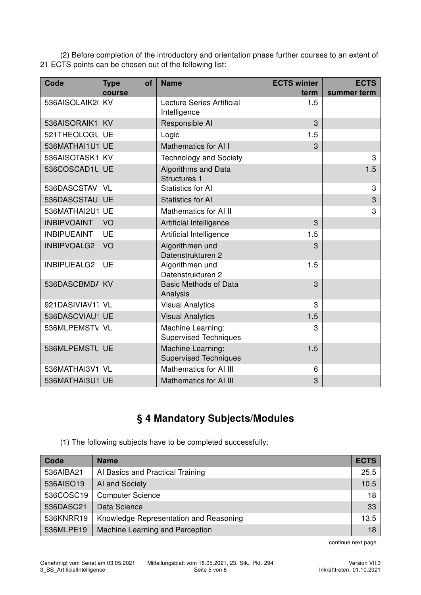(2) Before completion of the introductory and orientation phase further courses to an extent of 21 ECTS points can be chosen out of the following list:

| Code               | <b>Type</b><br>of | <b>Name</b>                                       | <b>ECTS winter</b> | <b>ECTS</b> |
|--------------------|-------------------|---------------------------------------------------|--------------------|-------------|
|                    | course            |                                                   | term               | summer term |
| 536AISOLAIK2       | <b>KV</b>         | Lecture Series Artificial<br>Intelligence         | 1.5                |             |
| 536AISORAIK1       | <b>KV</b>         | Responsible AI                                    | 3                  |             |
| 521THEOLOGU UE     |                   | Logic                                             | 1.5                |             |
| 536MATHAI1U1       | <b>UE</b>         | Mathematics for AI I                              | 3                  |             |
| 536AISOTASK1       | KV                | <b>Technology and Society</b>                     |                    | 3           |
| 536COSCAD1U        | <b>UE</b>         | Algorithms and Data<br><b>Structures 1</b>        |                    | 1.5         |
| 536DASCSTAV        | <b>VL</b>         | <b>Statistics for AI</b>                          |                    | 3           |
| 536DASCSTAU        | <b>UE</b>         | <b>Statistics for AI</b>                          |                    | 3           |
| 536MATHAI2U1       | UE                | Mathematics for AI II                             |                    | 3           |
| <b>INBIPVOAINT</b> | VO                | Artificial Intelligence                           | 3                  |             |
| <b>INBIPUEAINT</b> | <b>UE</b>         | Artificial Intelligence                           | 1.5                |             |
| <b>INBIPVOALG2</b> | VO                | Algorithmen und<br>Datenstrukturen 2              | 3                  |             |
| INBIPUEALG2        | UE                | Algorithmen und<br>Datenstrukturen 2              | 1.5                |             |
| 536DASCBMDA        | <b>KV</b>         | <b>Basic Methods of Data</b><br>Analysis          | 3                  |             |
| 921DASIVIAV11 VL   |                   | <b>Visual Analytics</b>                           | 3                  |             |
| 536DASCVIAU1       | <b>UE</b>         | <b>Visual Analytics</b>                           | 1.5                |             |
| 536MLPEMSTV VL     |                   | Machine Learning:<br><b>Supervised Techniques</b> | 3                  |             |
| 536MLPEMSTU UE     |                   | Machine Learning:<br><b>Supervised Techniques</b> | 1.5                |             |
| 536MATHAI3V1 VL    |                   | Mathematics for AI III                            | 6                  |             |
| 536MATHAI3U1 UE    |                   | <b>Mathematics for AI III</b>                     | 3                  |             |

# § 4 Mandatory Subjects/Modules

(1) The following subjects have to be completed successfully:

| Code      | <b>Name</b>                            | <b>ECTS</b> |
|-----------|----------------------------------------|-------------|
| 536AIBA21 | Al Basics and Practical Training       | 25.5        |
| 536AISO19 | AI and Society                         | 10.5        |
| 536COSC19 | <b>Computer Science</b>                | 18          |
| 536DASC21 | Data Science                           | 33          |
| 536KNRR19 | Knowledge Representation and Reasoning | 13.5        |
| 536MLPE19 | Machine Learning and Perception        | 18          |

continue next page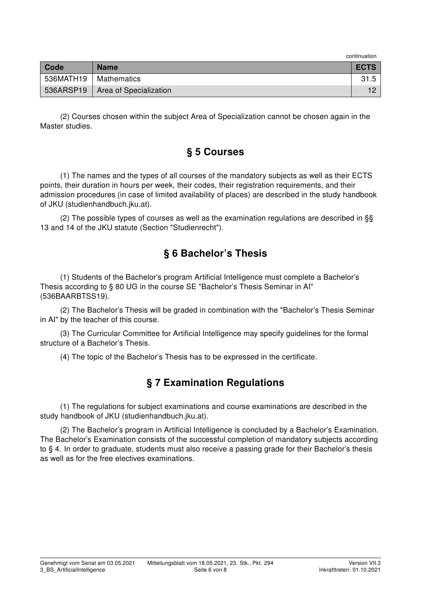| Code                    | <b>Name</b>                        | <b>ECTS</b> |
|-------------------------|------------------------------------|-------------|
| 536MATH19   Mathematics |                                    |             |
|                         | 536ARSP19   Area of Specialization |             |

(2) Courses chosen within the subject Area of Specialization cannot be chosen again in the Master studies.

#### § 5 Courses

(1) The names and the types of all courses of the mandatory subjects as well as their ECTS points, their duration in hours per week, their codes, their registration requirements, and their admission procedures (in case of limited availability of places) are described in the study handbook of JKU (studienhandbuch.jku.at).

(2) The possible types of courses as well as the examination regulations are described in §§ 13 and 14 of the JKU statute (Section "Studienrecht").

## § 6 Bachelor's Thesis

(1) Students of the Bachelor's program Artificial Intelligence must complete a Bachelor's Thesis according to § 80 UG in the course SE "Bachelor's Thesis Seminar in AI" (536BAARBTSS19).

(2) The Bachelor's Thesis will be graded in combination with the "Bachelor's Thesis Seminar in AI" by the teacher of this course.

(3) The Curricular Committee for Artificial Intelligence may specify guidelines for the formal structure of a Bachelor's Thesis.

(4) The topic of the Bachelor's Thesis has to be expressed in the certificate.

# § 7 Examination Regulations

(1) The regulations for subject examinations and course examinations are described in the study handbook of JKU (studienhandbuch.jku.at).

(2) The Bachelor's program in Artificial Intelligence is concluded by a Bachelor's Examination. The Bachelor's Examination consists of the successful completion of mandatory subjects according to § 4. In order to graduate, students must also receive a passing grade for their Bachelor's thesis as well as for the free electives examinations.

continuation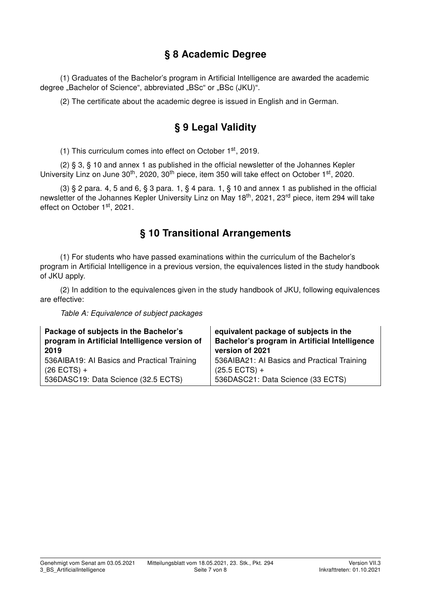### § 8 Academic Degree

(1) Graduates of the Bachelor's program in Artificial Intelligence are awarded the academic degree "Bachelor of Science", abbreviated "BSc" or "BSc (JKU)".

(2) The certificate about the academic degree is issued in English and in German.

# § 9 Legal Validity

(1) This curriculum comes into effect on October 1st, 2019.

(2) § 3, § 10 and annex 1 as published in the official newsletter of the Johannes Kepler University Linz on June 30<sup>th</sup>, 2020, 30<sup>th</sup> piece, item 350 will take effect on October 1<sup>st</sup>, 2020.

(3)  $\S$  2 para. 4, 5 and 6,  $\S$  3 para. 1,  $\S$  4 para. 1,  $\S$  10 and annex 1 as published in the official newsletter of the Johannes Kepler University Linz on May 18<sup>th</sup>, 2021, 23<sup>rd</sup> piece, item 294 will take effect on October 1<sup>st</sup>, 2021.

#### § 10 Transitional Arrangements

(1) For students who have passed examinations within the curriculum of the Bachelor's program in Artificial Intelligence in a previous version, the equivalences listed in the study handbook of JKU apply.

(2) In addition to the equivalences given in the study handbook of JKU, following equivalences are effective:

Table A: Equivalence of subject packages

| Package of subjects in the Bachelor's         | equivalent package of subjects in the         |
|-----------------------------------------------|-----------------------------------------------|
| program in Artificial Intelligence version of | Bachelor's program in Artificial Intelligence |
| 2019                                          | version of 2021                               |
| 536AIBA19: AI Basics and Practical Training   | 536AIBA21: AI Basics and Practical Training   |
| $(26$ ECTS) +                                 | $(25.5$ ECTS) +                               |
| 536DASC19: Data Science (32.5 ECTS)           | 536DASC21: Data Science (33 ECTS)             |